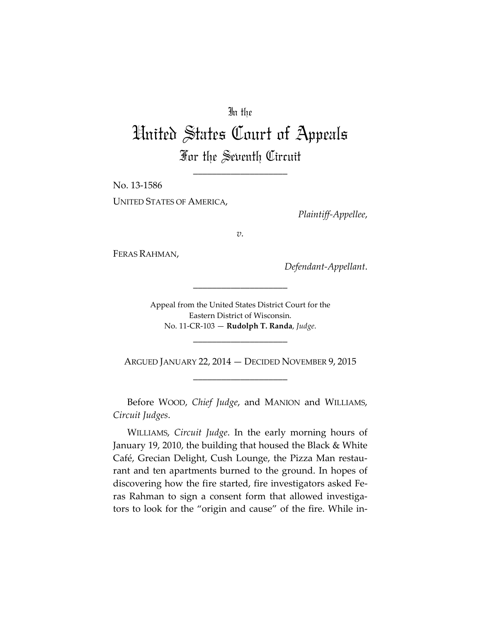# In the

# United States Court of Appeals For the Seventh Circuit

\_\_\_\_\_\_\_\_\_\_\_\_\_\_\_\_\_\_\_\_

No. 13-1586 UNITED STATES OF AMERICA,

*Plaintiff-Appellee*,

*v.*

FERAS RAHMAN,

*Defendant-Appellant*.

Appeal from the United States District Court for the Eastern District of Wisconsin. No. 11-CR-103 — **Rudolph T. Randa**, *Judge*.

\_\_\_\_\_\_\_\_\_\_\_\_\_\_\_\_\_\_\_\_

\_\_\_\_\_\_\_\_\_\_\_\_\_\_\_\_\_\_\_\_

ARGUED JANUARY 22, 2014 — DECIDED NOVEMBER 9, 2015 \_\_\_\_\_\_\_\_\_\_\_\_\_\_\_\_\_\_\_\_

Before WOOD, *Chief Judge*, and MANION and WILLIAMS, *Circuit Judges*.

WILLIAMS, *Circuit Judge*. In the early morning hours of January 19, 2010, the building that housed the Black & White Café, Grecian Delight, Cush Lounge, the Pizza Man restaurant and ten apartments burned to the ground. In hopes of discovering how the fire started, fire investigators asked Feras Rahman to sign a consent form that allowed investigators to look for the "origin and cause" of the fire. While in-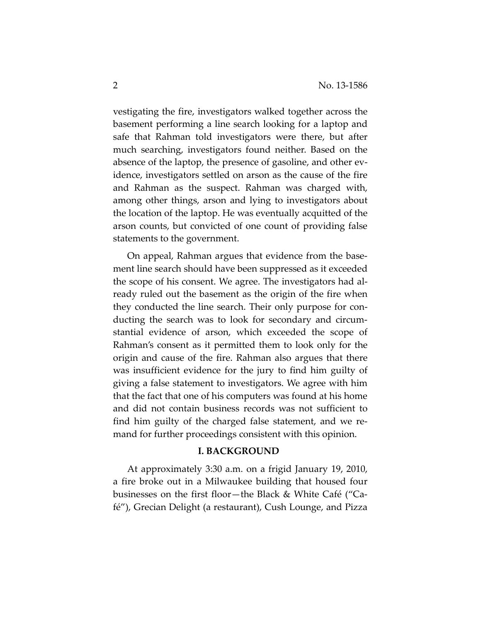vestigating the fire, investigators walked together across the basement performing a line search looking for a laptop and safe that Rahman told investigators were there, but after much searching, investigators found neither. Based on the absence of the laptop, the presence of gasoline, and other evidence, investigators settled on arson as the cause of the fire and Rahman as the suspect. Rahman was charged with, among other things, arson and lying to investigators about the location of the laptop. He was eventually acquitted of the arson counts, but convicted of one count of providing false statements to the government.

On appeal, Rahman argues that evidence from the basement line search should have been suppressed as it exceeded the scope of his consent. We agree. The investigators had already ruled out the basement as the origin of the fire when they conducted the line search. Their only purpose for conducting the search was to look for secondary and circumstantial evidence of arson, which exceeded the scope of Rahman's consent as it permitted them to look only for the origin and cause of the fire. Rahman also argues that there was insufficient evidence for the jury to find him guilty of giving a false statement to investigators. We agree with him that the fact that one of his computers was found at his home and did not contain business records was not sufficient to find him guilty of the charged false statement, and we remand for further proceedings consistent with this opinion.

## **I. BACKGROUND**

At approximately 3:30 a.m. on a frigid January 19, 2010, a fire broke out in a Milwaukee building that housed four businesses on the first floor—the Black & White Café ("Café"), Grecian Delight (a restaurant), Cush Lounge, and Pizza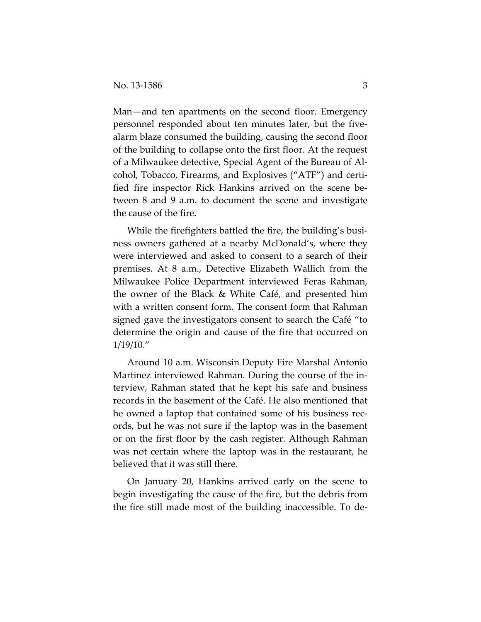Man—and ten apartments on the second floor. Emergency personnel responded about ten minutes later, but the fivealarm blaze consumed the building, causing the second floor of the building to collapse onto the first floor. At the request of a Milwaukee detective, Special Agent of the Bureau of Alcohol, Tobacco, Firearms, and Explosives ("ATF") and certified fire inspector Rick Hankins arrived on the scene between 8 and 9 a.m. to document the scene and investigate the cause of the fire.

While the firefighters battled the fire, the building's business owners gathered at a nearby McDonald's, where they were interviewed and asked to consent to a search of their premises. At 8 a.m., Detective Elizabeth Wallich from the Milwaukee Police Department interviewed Feras Rahman, the owner of the Black & White Café, and presented him with a written consent form. The consent form that Rahman signed gave the investigators consent to search the Café "to determine the origin and cause of the fire that occurred on 1/19/10."

Around 10 a.m. Wisconsin Deputy Fire Marshal Antonio Martinez interviewed Rahman. During the course of the interview, Rahman stated that he kept his safe and business records in the basement of the Café. He also mentioned that he owned a laptop that contained some of his business records, but he was not sure if the laptop was in the basement or on the first floor by the cash register. Although Rahman was not certain where the laptop was in the restaurant, he believed that it was still there.

On January 20, Hankins arrived early on the scene to begin investigating the cause of the fire, but the debris from the fire still made most of the building inaccessible. To de-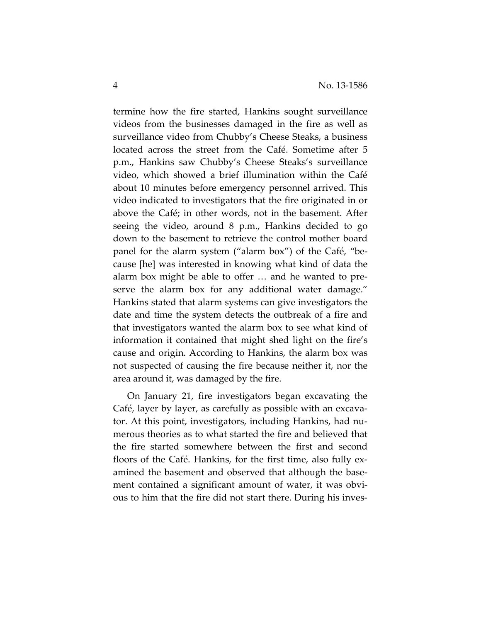termine how the fire started, Hankins sought surveillance videos from the businesses damaged in the fire as well as surveillance video from Chubby's Cheese Steaks, a business located across the street from the Café. Sometime after 5 p.m., Hankins saw Chubby's Cheese Steaks's surveillance video, which showed a brief illumination within the Café about 10 minutes before emergency personnel arrived. This video indicated to investigators that the fire originated in or above the Café; in other words, not in the basement. After seeing the video, around 8 p.m., Hankins decided to go down to the basement to retrieve the control mother board panel for the alarm system ("alarm box") of the Café, "because [he] was interested in knowing what kind of data the alarm box might be able to offer … and he wanted to preserve the alarm box for any additional water damage." Hankins stated that alarm systems can give investigators the date and time the system detects the outbreak of a fire and that investigators wanted the alarm box to see what kind of information it contained that might shed light on the fire's cause and origin. According to Hankins, the alarm box was not suspected of causing the fire because neither it, nor the area around it, was damaged by the fire.

On January 21, fire investigators began excavating the Café, layer by layer, as carefully as possible with an excavator. At this point, investigators, including Hankins, had numerous theories as to what started the fire and believed that the fire started somewhere between the first and second floors of the Café. Hankins, for the first time, also fully examined the basement and observed that although the basement contained a significant amount of water, it was obvious to him that the fire did not start there. During his inves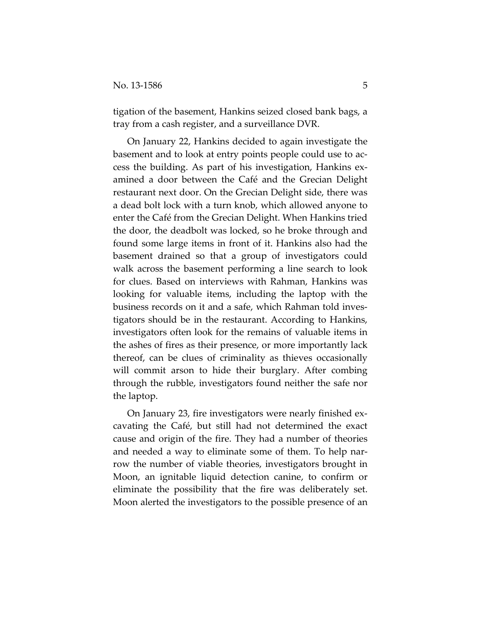tigation of the basement, Hankins seized closed bank bags, a tray from a cash register, and a surveillance DVR.

On January 22, Hankins decided to again investigate the basement and to look at entry points people could use to access the building. As part of his investigation, Hankins examined a door between the Café and the Grecian Delight restaurant next door. On the Grecian Delight side, there was a dead bolt lock with a turn knob, which allowed anyone to enter the Café from the Grecian Delight. When Hankins tried the door, the deadbolt was locked, so he broke through and found some large items in front of it. Hankins also had the basement drained so that a group of investigators could walk across the basement performing a line search to look for clues. Based on interviews with Rahman, Hankins was looking for valuable items, including the laptop with the business records on it and a safe, which Rahman told investigators should be in the restaurant. According to Hankins, investigators often look for the remains of valuable items in the ashes of fires as their presence, or more importantly lack thereof, can be clues of criminality as thieves occasionally will commit arson to hide their burglary. After combing through the rubble, investigators found neither the safe nor the laptop.

On January 23, fire investigators were nearly finished excavating the Café, but still had not determined the exact cause and origin of the fire. They had a number of theories and needed a way to eliminate some of them. To help narrow the number of viable theories, investigators brought in Moon, an ignitable liquid detection canine, to confirm or eliminate the possibility that the fire was deliberately set. Moon alerted the investigators to the possible presence of an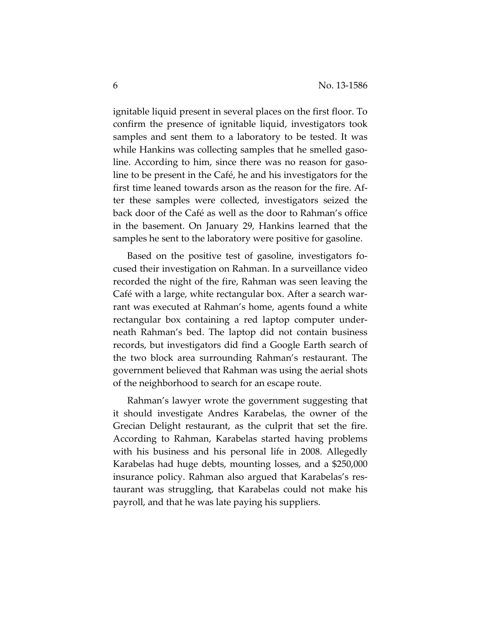ignitable liquid present in several places on the first floor. To confirm the presence of ignitable liquid, investigators took samples and sent them to a laboratory to be tested. It was while Hankins was collecting samples that he smelled gasoline. According to him, since there was no reason for gasoline to be present in the Café, he and his investigators for the first time leaned towards arson as the reason for the fire. After these samples were collected, investigators seized the back door of the Café as well as the door to Rahman's office in the basement. On January 29, Hankins learned that the samples he sent to the laboratory were positive for gasoline.

Based on the positive test of gasoline, investigators focused their investigation on Rahman. In a surveillance video recorded the night of the fire, Rahman was seen leaving the Café with a large, white rectangular box. After a search warrant was executed at Rahman's home, agents found a white rectangular box containing a red laptop computer underneath Rahman's bed. The laptop did not contain business records, but investigators did find a Google Earth search of the two block area surrounding Rahman's restaurant. The government believed that Rahman was using the aerial shots of the neighborhood to search for an escape route.

Rahman's lawyer wrote the government suggesting that it should investigate Andres Karabelas, the owner of the Grecian Delight restaurant, as the culprit that set the fire. According to Rahman, Karabelas started having problems with his business and his personal life in 2008. Allegedly Karabelas had huge debts, mounting losses, and a \$250,000 insurance policy. Rahman also argued that Karabelas's restaurant was struggling, that Karabelas could not make his payroll, and that he was late paying his suppliers.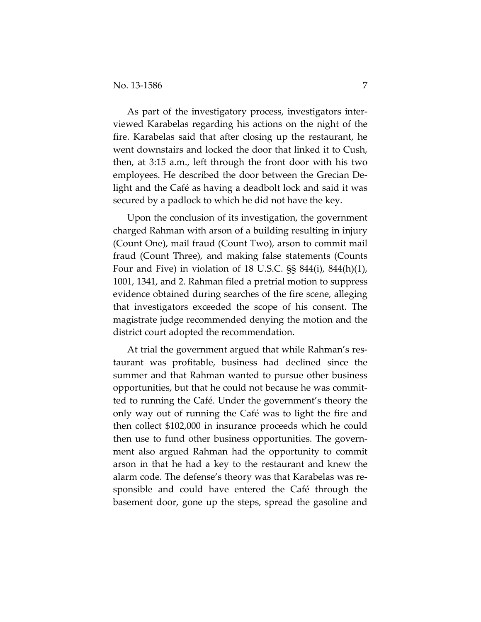As part of the investigatory process, investigators interviewed Karabelas regarding his actions on the night of the fire. Karabelas said that after closing up the restaurant, he went downstairs and locked the door that linked it to Cush, then, at 3:15 a.m., left through the front door with his two employees. He described the door between the Grecian Delight and the Café as having a deadbolt lock and said it was secured by a padlock to which he did not have the key.

Upon the conclusion of its investigation, the government charged Rahman with arson of a building resulting in injury (Count One), mail fraud (Count Two), arson to commit mail fraud (Count Three), and making false statements (Counts Four and Five) in violation of 18 U.S.C. §§ 844(i), 844(h)(1), 1001, 1341, and 2. Rahman filed a pretrial motion to suppress evidence obtained during searches of the fire scene, alleging that investigators exceeded the scope of his consent. The magistrate judge recommended denying the motion and the district court adopted the recommendation.

At trial the government argued that while Rahman's restaurant was profitable, business had declined since the summer and that Rahman wanted to pursue other business opportunities, but that he could not because he was committed to running the Café. Under the government's theory the only way out of running the Café was to light the fire and then collect \$102,000 in insurance proceeds which he could then use to fund other business opportunities. The government also argued Rahman had the opportunity to commit arson in that he had a key to the restaurant and knew the alarm code. The defense's theory was that Karabelas was responsible and could have entered the Café through the basement door, gone up the steps, spread the gasoline and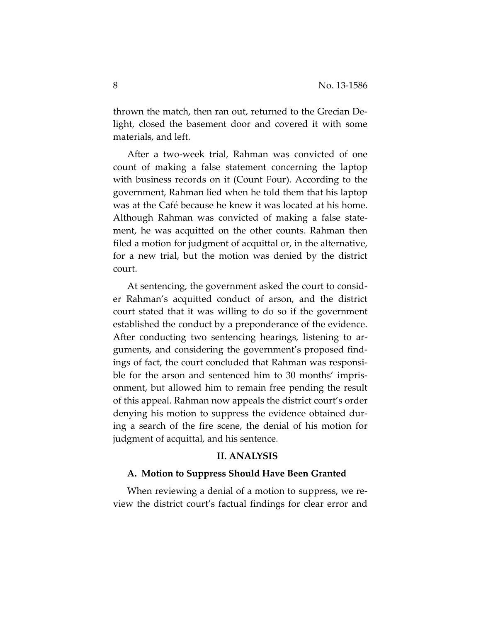thrown the match, then ran out, returned to the Grecian Delight, closed the basement door and covered it with some materials, and left.

After a two-week trial, Rahman was convicted of one count of making a false statement concerning the laptop with business records on it (Count Four). According to the government, Rahman lied when he told them that his laptop was at the Café because he knew it was located at his home. Although Rahman was convicted of making a false statement, he was acquitted on the other counts. Rahman then filed a motion for judgment of acquittal or, in the alternative, for a new trial, but the motion was denied by the district court.

At sentencing, the government asked the court to consider Rahman's acquitted conduct of arson, and the district court stated that it was willing to do so if the government established the conduct by a preponderance of the evidence. After conducting two sentencing hearings, listening to arguments, and considering the government's proposed findings of fact, the court concluded that Rahman was responsible for the arson and sentenced him to 30 months' imprisonment, but allowed him to remain free pending the result of this appeal. Rahman now appeals the district court's order denying his motion to suppress the evidence obtained during a search of the fire scene, the denial of his motion for judgment of acquittal, and his sentence.

## **II. ANALYSIS**

## **A. Motion to Suppress Should Have Been Granted**

When reviewing a denial of a motion to suppress, we review the district court's factual findings for clear error and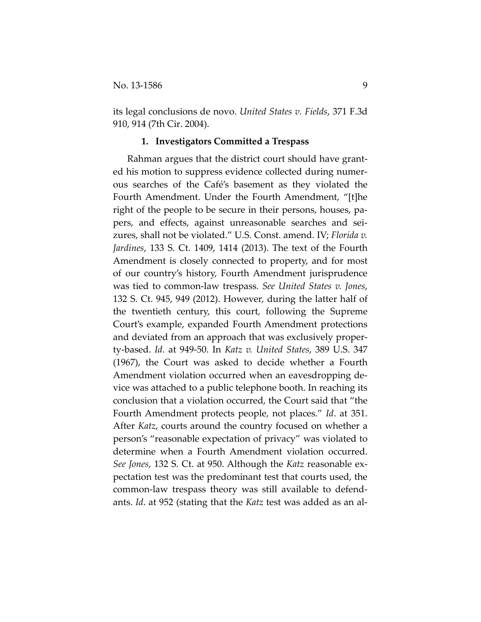its legal conclusions de novo. *United States v. Fields*, 371 F.3d 910, 914 (7th Cir. 2004).

#### **1. Investigators Committed a Trespass**

Rahman argues that the district court should have granted his motion to suppress evidence collected during numerous searches of the Café's basement as they violated the Fourth Amendment. Under the Fourth Amendment, "[t]he right of the people to be secure in their persons, houses, papers, and effects, against unreasonable searches and seizures, shall not be violated." U.S. Const. amend. IV; *Florida v. Jardines*, 133 S. Ct. 1409, 1414 (2013). The text of the Fourth Amendment is closely connected to property, and for most of our country's history, Fourth Amendment jurisprudence was tied to common-law trespass. *See United States v. Jones*, 132 S. Ct. 945, 949 (2012). However, during the latter half of the twentieth century, this court, following the Supreme Court's example, expanded Fourth Amendment protections and deviated from an approach that was exclusively property-based. *Id*. at 949-50. In *Katz v. United States*, 389 U.S. 347 (1967), the Court was asked to decide whether a Fourth Amendment violation occurred when an eavesdropping device was attached to a public telephone booth. In reaching its conclusion that a violation occurred, the Court said that "the Fourth Amendment protects people, not places." *Id*. at 351. After *Katz*, courts around the country focused on whether a person's "reasonable expectation of privacy" was violated to determine when a Fourth Amendment violation occurred. *See Jones*, 132 S. Ct. at 950. Although the *Katz* reasonable expectation test was the predominant test that courts used, the common-law trespass theory was still available to defendants. *Id*. at 952 (stating that the *Katz* test was added as an al-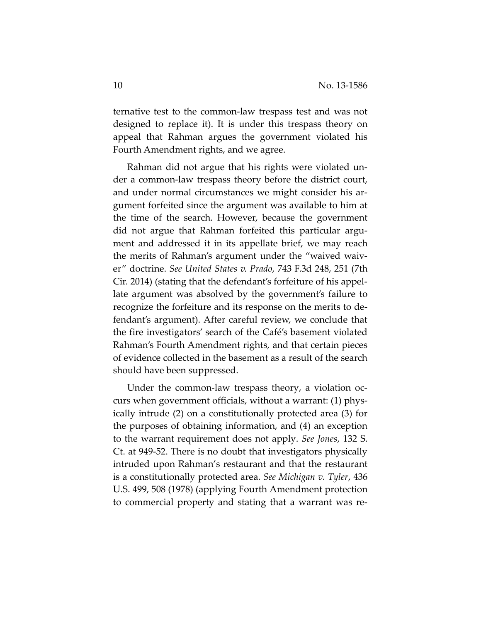ternative test to the common-law trespass test and was not designed to replace it). It is under this trespass theory on appeal that Rahman argues the government violated his Fourth Amendment rights, and we agree.

Rahman did not argue that his rights were violated under a common-law trespass theory before the district court, and under normal circumstances we might consider his argument forfeited since the argument was available to him at the time of the search. However, because the government did not argue that Rahman forfeited this particular argument and addressed it in its appellate brief, we may reach the merits of Rahman's argument under the "waived waiver" doctrine. *See United States v. Prado*, 743 F.3d 248, 251 (7th Cir. 2014) (stating that the defendant's forfeiture of his appellate argument was absolved by the government's failure to recognize the forfeiture and its response on the merits to defendant's argument). After careful review, we conclude that the fire investigators' search of the Café's basement violated Rahman's Fourth Amendment rights, and that certain pieces of evidence collected in the basement as a result of the search should have been suppressed.

Under the common-law trespass theory, a violation occurs when government officials, without a warrant: (1) physically intrude (2) on a constitutionally protected area (3) for the purposes of obtaining information, and (4) an exception to the warrant requirement does not apply. *See Jones*, 132 S. Ct. at 949-52. There is no doubt that investigators physically intruded upon Rahman's restaurant and that the restaurant is a constitutionally protected area. *See Michigan v. Tyler*, 436 U.S. 499, 508 (1978) (applying Fourth Amendment protection to commercial property and stating that a warrant was re-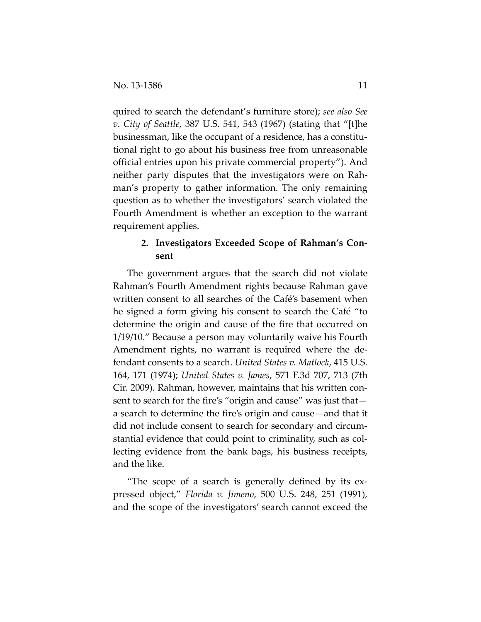quired to search the defendant's furniture store); *see also See v. City of Seattle*, 387 U.S. 541, 543 (1967) (stating that "[t]he businessman, like the occupant of a residence, has a constitutional right to go about his business free from unreasonable official entries upon his private commercial property"). And neither party disputes that the investigators were on Rahman's property to gather information. The only remaining question as to whether the investigators' search violated the Fourth Amendment is whether an exception to the warrant requirement applies.

## **2. Investigators Exceeded Scope of Rahman's Consent**

The government argues that the search did not violate Rahman's Fourth Amendment rights because Rahman gave written consent to all searches of the Café's basement when he signed a form giving his consent to search the Café "to determine the origin and cause of the fire that occurred on 1/19/10." Because a person may voluntarily waive his Fourth Amendment rights, no warrant is required where the defendant consents to a search. *United States v. Matlock*, 415 U.S. 164, 171 (1974); *United States v. James*, 571 F.3d 707, 713 (7th Cir. 2009). Rahman, however, maintains that his written consent to search for the fire's "origin and cause" was just that a search to determine the fire's origin and cause—and that it did not include consent to search for secondary and circumstantial evidence that could point to criminality, such as collecting evidence from the bank bags, his business receipts, and the like.

"The scope of a search is generally defined by its expressed object," *Florida v. Jimeno*, 500 U.S. 248, 251 (1991), and the scope of the investigators' search cannot exceed the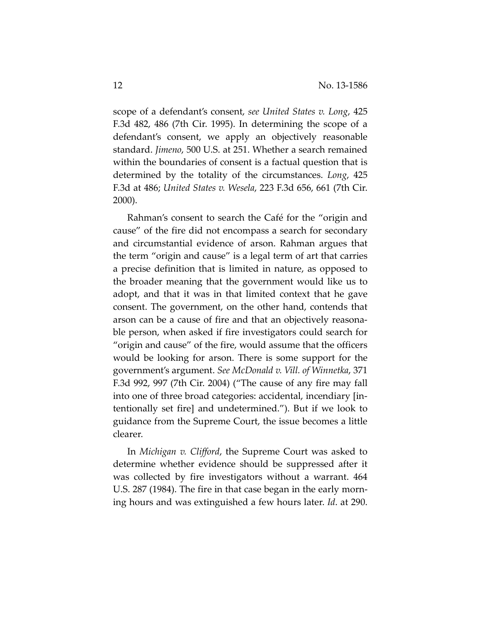scope of a defendant's consent, *see United States v. Long*, 425 F.3d 482, 486 (7th Cir. 1995). In determining the scope of a defendant's consent, we apply an objectively reasonable standard. *Jimeno*, 500 U.S. at 251. Whether a search remained within the boundaries of consent is a factual question that is determined by the totality of the circumstances. *Long*, 425 F.3d at 486; *United States v. Wesela*, 223 F.3d 656, 661 (7th Cir. 2000).

Rahman's consent to search the Café for the "origin and cause" of the fire did not encompass a search for secondary and circumstantial evidence of arson. Rahman argues that the term "origin and cause" is a legal term of art that carries a precise definition that is limited in nature, as opposed to the broader meaning that the government would like us to adopt, and that it was in that limited context that he gave consent. The government, on the other hand, contends that arson can be a cause of fire and that an objectively reasonable person, when asked if fire investigators could search for "origin and cause" of the fire, would assume that the officers would be looking for arson. There is some support for the government's argument. *See McDonald v. Vill. of Winnetka*, 371 F.3d 992, 997 (7th Cir. 2004) ("The cause of any fire may fall into one of three broad categories: accidental, incendiary [intentionally set fire] and undetermined."). But if we look to guidance from the Supreme Court, the issue becomes a little clearer.

In *Michigan v. Clifford*, the Supreme Court was asked to determine whether evidence should be suppressed after it was collected by fire investigators without a warrant. 464 U.S. 287 (1984). The fire in that case began in the early morning hours and was extinguished a few hours later. *Id*. at 290.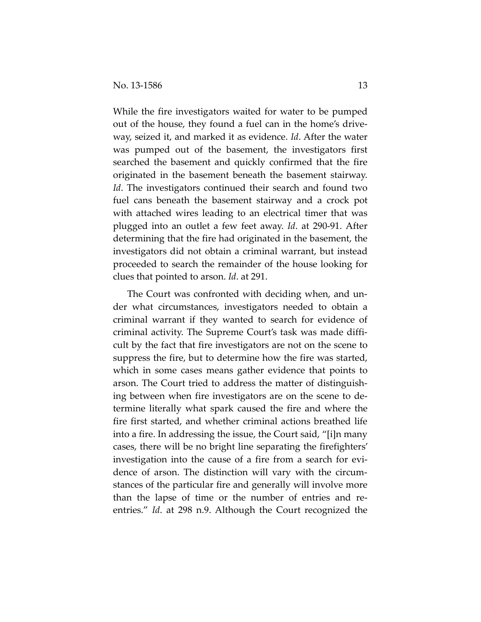While the fire investigators waited for water to be pumped out of the house, they found a fuel can in the home's driveway, seized it, and marked it as evidence. *Id*. After the water was pumped out of the basement, the investigators first searched the basement and quickly confirmed that the fire originated in the basement beneath the basement stairway. *Id*. The investigators continued their search and found two fuel cans beneath the basement stairway and a crock pot with attached wires leading to an electrical timer that was plugged into an outlet a few feet away. *Id*. at 290-91. After determining that the fire had originated in the basement, the investigators did not obtain a criminal warrant, but instead proceeded to search the remainder of the house looking for clues that pointed to arson. *Id*. at 291.

The Court was confronted with deciding when, and under what circumstances, investigators needed to obtain a criminal warrant if they wanted to search for evidence of criminal activity. The Supreme Court's task was made difficult by the fact that fire investigators are not on the scene to suppress the fire, but to determine how the fire was started, which in some cases means gather evidence that points to arson. The Court tried to address the matter of distinguishing between when fire investigators are on the scene to determine literally what spark caused the fire and where the fire first started, and whether criminal actions breathed life into a fire. In addressing the issue, the Court said, "[i]n many cases, there will be no bright line separating the firefighters' investigation into the cause of a fire from a search for evidence of arson. The distinction will vary with the circumstances of the particular fire and generally will involve more than the lapse of time or the number of entries and reentries." *Id*. at 298 n.9. Although the Court recognized the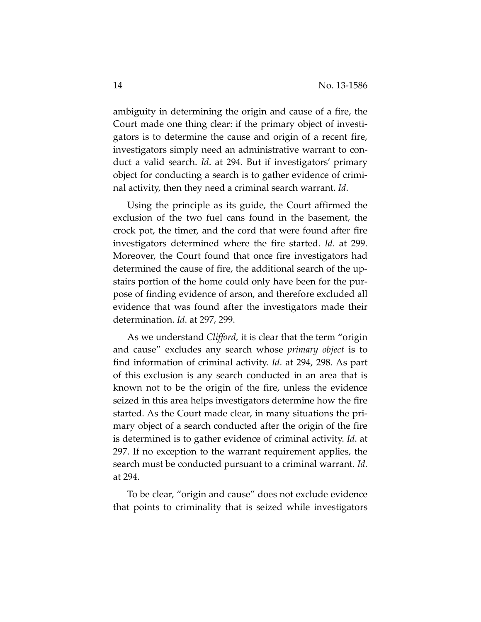ambiguity in determining the origin and cause of a fire, the Court made one thing clear: if the primary object of investigators is to determine the cause and origin of a recent fire, investigators simply need an administrative warrant to conduct a valid search. *Id*. at 294. But if investigators' primary object for conducting a search is to gather evidence of criminal activity, then they need a criminal search warrant. *Id*.

Using the principle as its guide, the Court affirmed the exclusion of the two fuel cans found in the basement, the crock pot, the timer, and the cord that were found after fire investigators determined where the fire started. *Id*. at 299. Moreover, the Court found that once fire investigators had determined the cause of fire, the additional search of the upstairs portion of the home could only have been for the purpose of finding evidence of arson, and therefore excluded all evidence that was found after the investigators made their determination. *Id*. at 297, 299.

As we understand *Clifford*, it is clear that the term "origin and cause" excludes any search whose *primary object* is to find information of criminal activity. *Id*. at 294, 298. As part of this exclusion is any search conducted in an area that is known not to be the origin of the fire, unless the evidence seized in this area helps investigators determine how the fire started. As the Court made clear, in many situations the primary object of a search conducted after the origin of the fire is determined is to gather evidence of criminal activity. *Id*. at 297. If no exception to the warrant requirement applies, the search must be conducted pursuant to a criminal warrant. *Id*. at 294.

To be clear, "origin and cause" does not exclude evidence that points to criminality that is seized while investigators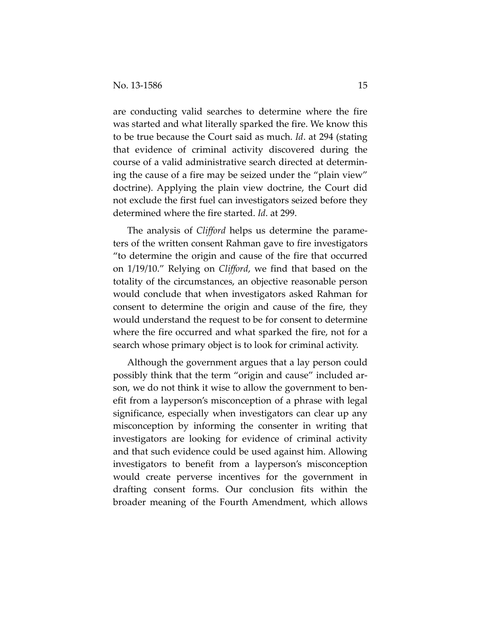are conducting valid searches to determine where the fire was started and what literally sparked the fire. We know this to be true because the Court said as much. *Id*. at 294 (stating that evidence of criminal activity discovered during the course of a valid administrative search directed at determining the cause of a fire may be seized under the "plain view" doctrine). Applying the plain view doctrine, the Court did not exclude the first fuel can investigators seized before they determined where the fire started. *Id*. at 299.

The analysis of *Clifford* helps us determine the parameters of the written consent Rahman gave to fire investigators "to determine the origin and cause of the fire that occurred on 1/19/10." Relying on *Clifford*, we find that based on the totality of the circumstances, an objective reasonable person would conclude that when investigators asked Rahman for consent to determine the origin and cause of the fire, they would understand the request to be for consent to determine where the fire occurred and what sparked the fire, not for a search whose primary object is to look for criminal activity.

Although the government argues that a lay person could possibly think that the term "origin and cause" included arson, we do not think it wise to allow the government to benefit from a layperson's misconception of a phrase with legal significance, especially when investigators can clear up any misconception by informing the consenter in writing that investigators are looking for evidence of criminal activity and that such evidence could be used against him. Allowing investigators to benefit from a layperson's misconception would create perverse incentives for the government in drafting consent forms. Our conclusion fits within the broader meaning of the Fourth Amendment, which allows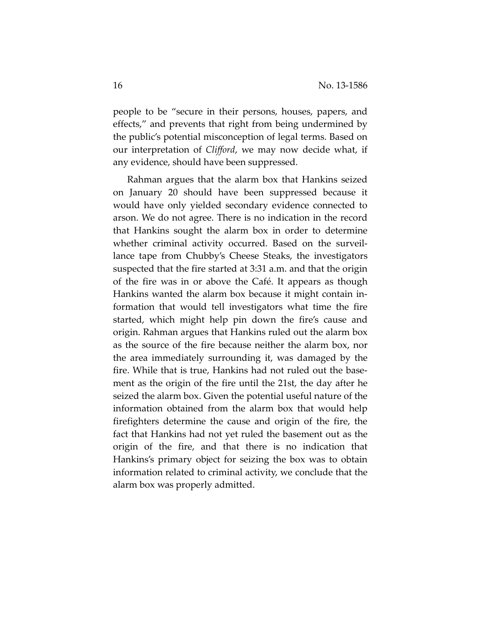people to be "secure in their persons, houses, papers, and effects," and prevents that right from being undermined by the public's potential misconception of legal terms. Based on our interpretation of *Clifford*, we may now decide what, if any evidence, should have been suppressed.

Rahman argues that the alarm box that Hankins seized on January 20 should have been suppressed because it would have only yielded secondary evidence connected to arson. We do not agree. There is no indication in the record that Hankins sought the alarm box in order to determine whether criminal activity occurred. Based on the surveillance tape from Chubby's Cheese Steaks, the investigators suspected that the fire started at 3:31 a.m. and that the origin of the fire was in or above the Café. It appears as though Hankins wanted the alarm box because it might contain information that would tell investigators what time the fire started, which might help pin down the fire's cause and origin. Rahman argues that Hankins ruled out the alarm box as the source of the fire because neither the alarm box, nor the area immediately surrounding it, was damaged by the fire. While that is true, Hankins had not ruled out the basement as the origin of the fire until the 21st, the day after he seized the alarm box. Given the potential useful nature of the information obtained from the alarm box that would help firefighters determine the cause and origin of the fire, the fact that Hankins had not yet ruled the basement out as the origin of the fire, and that there is no indication that Hankins's primary object for seizing the box was to obtain information related to criminal activity, we conclude that the alarm box was properly admitted.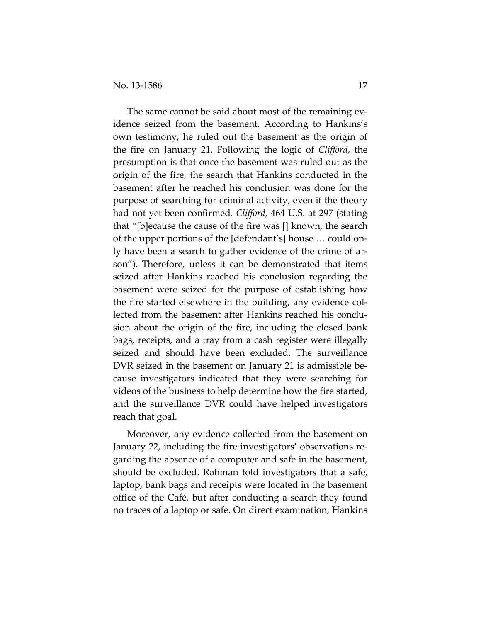The same cannot be said about most of the remaining evidence seized from the basement. According to Hankins's own testimony, he ruled out the basement as the origin of the fire on January 21. Following the logic of *Clifford*, the presumption is that once the basement was ruled out as the origin of the fire, the search that Hankins conducted in the basement after he reached his conclusion was done for the purpose of searching for criminal activity, even if the theory had not yet been confirmed. *Clifford*, 464 U.S. at 297 (stating that "[b]ecause the cause of the fire was [] known, the search of the upper portions of the [defendant's] house … could only have been a search to gather evidence of the crime of arson"). Therefore, unless it can be demonstrated that items seized after Hankins reached his conclusion regarding the basement were seized for the purpose of establishing how the fire started elsewhere in the building, any evidence collected from the basement after Hankins reached his conclusion about the origin of the fire, including the closed bank bags, receipts, and a tray from a cash register were illegally seized and should have been excluded. The surveillance DVR seized in the basement on January 21 is admissible because investigators indicated that they were searching for videos of the business to help determine how the fire started, and the surveillance DVR could have helped investigators reach that goal.

Moreover, any evidence collected from the basement on January 22, including the fire investigators' observations regarding the absence of a computer and safe in the basement, should be excluded. Rahman told investigators that a safe, laptop, bank bags and receipts were located in the basement office of the Café, but after conducting a search they found no traces of a laptop or safe. On direct examination, Hankins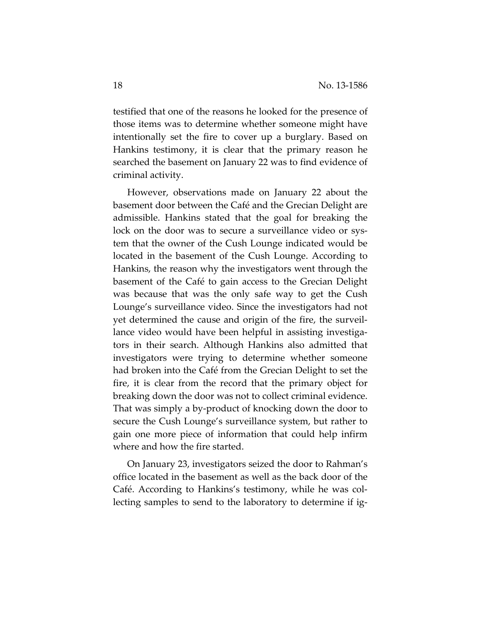testified that one of the reasons he looked for the presence of those items was to determine whether someone might have intentionally set the fire to cover up a burglary. Based on Hankins testimony, it is clear that the primary reason he searched the basement on January 22 was to find evidence of criminal activity.

However, observations made on January 22 about the basement door between the Café and the Grecian Delight are admissible. Hankins stated that the goal for breaking the lock on the door was to secure a surveillance video or system that the owner of the Cush Lounge indicated would be located in the basement of the Cush Lounge. According to Hankins, the reason why the investigators went through the basement of the Café to gain access to the Grecian Delight was because that was the only safe way to get the Cush Lounge's surveillance video. Since the investigators had not yet determined the cause and origin of the fire, the surveillance video would have been helpful in assisting investigators in their search. Although Hankins also admitted that investigators were trying to determine whether someone had broken into the Café from the Grecian Delight to set the fire, it is clear from the record that the primary object for breaking down the door was not to collect criminal evidence. That was simply a by-product of knocking down the door to secure the Cush Lounge's surveillance system, but rather to gain one more piece of information that could help infirm where and how the fire started.

On January 23, investigators seized the door to Rahman's office located in the basement as well as the back door of the Café. According to Hankins's testimony, while he was collecting samples to send to the laboratory to determine if ig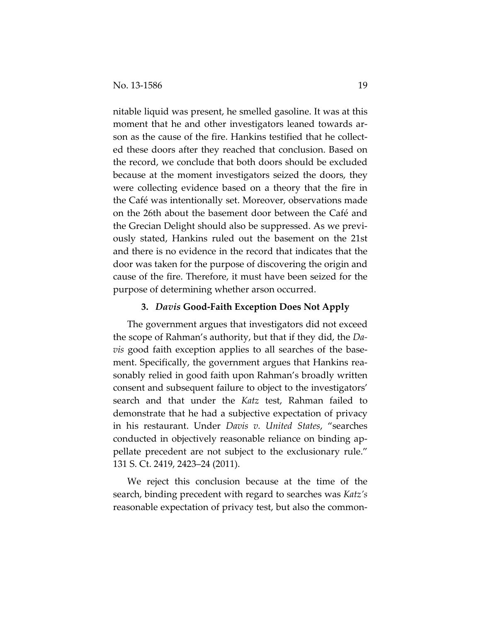nitable liquid was present, he smelled gasoline. It was at this moment that he and other investigators leaned towards arson as the cause of the fire. Hankins testified that he collected these doors after they reached that conclusion. Based on the record, we conclude that both doors should be excluded because at the moment investigators seized the doors, they were collecting evidence based on a theory that the fire in the Café was intentionally set. Moreover, observations made on the 26th about the basement door between the Café and the Grecian Delight should also be suppressed. As we previously stated, Hankins ruled out the basement on the 21st and there is no evidence in the record that indicates that the door was taken for the purpose of discovering the origin and cause of the fire. Therefore, it must have been seized for the purpose of determining whether arson occurred.

## **3.** *Davis* **Good-Faith Exception Does Not Apply**

The government argues that investigators did not exceed the scope of Rahman's authority, but that if they did, the *Davis* good faith exception applies to all searches of the basement. Specifically, the government argues that Hankins reasonably relied in good faith upon Rahman's broadly written consent and subsequent failure to object to the investigators' search and that under the *Katz* test, Rahman failed to demonstrate that he had a subjective expectation of privacy in his restaurant. Under *Davis v. United States*, "searches conducted in objectively reasonable reliance on binding appellate precedent are not subject to the exclusionary rule." 131 S. Ct. 2419, 2423–24 (2011).

We reject this conclusion because at the time of the search, binding precedent with regard to searches was *Katz's* reasonable expectation of privacy test, but also the common-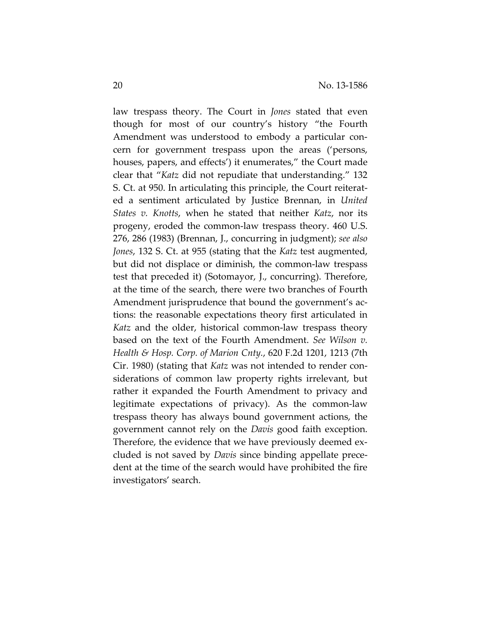law trespass theory. The Court in *Jones* stated that even though for most of our country's history "the Fourth Amendment was understood to embody a particular concern for government trespass upon the areas ('persons, houses, papers, and effects') it enumerates," the Court made clear that "*Katz* did not repudiate that understanding." 132 S. Ct. at 950. In articulating this principle, the Court reiterated a sentiment articulated by Justice Brennan, in *United States v. Knotts*, when he stated that neither *Katz*, nor its progeny, eroded the common-law trespass theory. 460 U.S. 276, 286 (1983) (Brennan, J., concurring in judgment); *see also Jones*, 132 S. Ct. at 955 (stating that the *Katz* test augmented, but did not displace or diminish, the common-law trespass test that preceded it) (Sotomayor, J., concurring). Therefore, at the time of the search, there were two branches of Fourth Amendment jurisprudence that bound the government's actions: the reasonable expectations theory first articulated in *Katz* and the older, historical common-law trespass theory based on the text of the Fourth Amendment. *See Wilson v. Health & Hosp. Corp. of Marion Cnty.*, 620 F.2d 1201, 1213 (7th Cir. 1980) (stating that *Katz* was not intended to render considerations of common law property rights irrelevant, but rather it expanded the Fourth Amendment to privacy and legitimate expectations of privacy). As the common-law trespass theory has always bound government actions, the government cannot rely on the *Davis* good faith exception. Therefore, the evidence that we have previously deemed excluded is not saved by *Davis* since binding appellate precedent at the time of the search would have prohibited the fire investigators' search.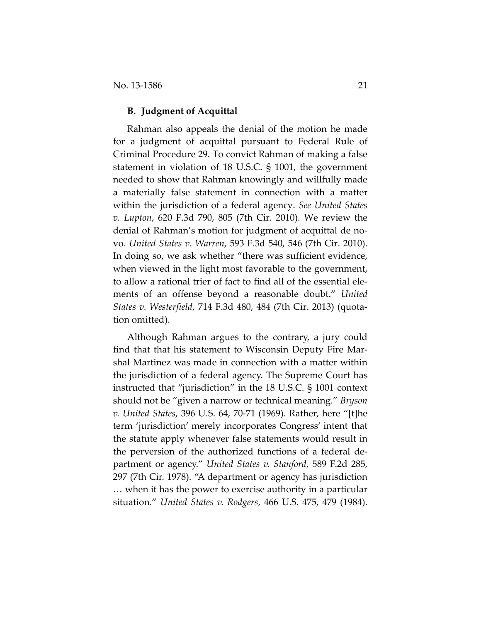## **B. Judgment of Acquittal**

Rahman also appeals the denial of the motion he made for a judgment of acquittal pursuant to Federal Rule of Criminal Procedure 29. To convict Rahman of making a false statement in violation of 18 U.S.C. § 1001, the government needed to show that Rahman knowingly and willfully made a materially false statement in connection with a matter within the jurisdiction of a federal agency. *See United States v. Lupton*, 620 F.3d 790, 805 (7th Cir. 2010). We review the denial of Rahman's motion for judgment of acquittal de novo. *United States v. Warren*, 593 F.3d 540, 546 (7th Cir. 2010). In doing so, we ask whether "there was sufficient evidence, when viewed in the light most favorable to the government, to allow a rational trier of fact to find all of the essential elements of an offense beyond a reasonable doubt." *United States v. Westerfield*, 714 F.3d 480, 484 (7th Cir. 2013) (quotation omitted).

Although Rahman argues to the contrary, a jury could find that that his statement to Wisconsin Deputy Fire Marshal Martinez was made in connection with a matter within the jurisdiction of a federal agency. The Supreme Court has instructed that "jurisdiction" in the 18 U.S.C. § 1001 context should not be "given a narrow or technical meaning." *Bryson v. United States*, 396 U.S. 64, 70-71 (1969). Rather, here "[t]he term 'jurisdiction' merely incorporates Congress' intent that the statute apply whenever false statements would result in the perversion of the authorized functions of a federal department or agency." *United States v. Stanford*, 589 F.2d 285, 297 (7th Cir. 1978). "A department or agency has jurisdiction … when it has the power to exercise authority in a particular situation." *United States v. Rodgers*, 466 U.S. 475, 479 (1984).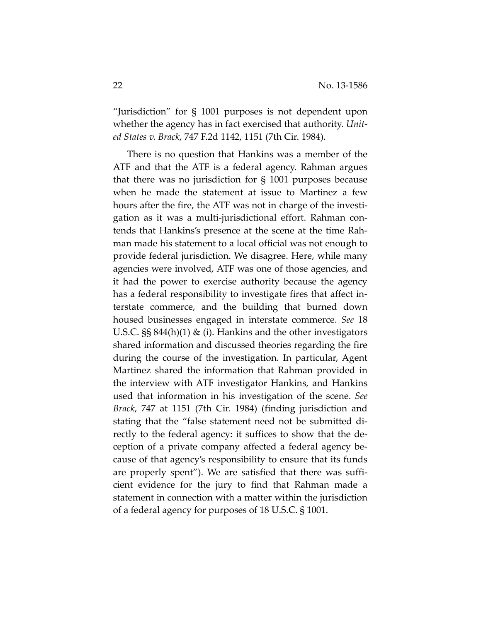"Jurisdiction" for § 1001 purposes is not dependent upon whether the agency has in fact exercised that authority. *United States v. Brack*, 747 F.2d 1142, 1151 (7th Cir. 1984).

There is no question that Hankins was a member of the ATF and that the ATF is a federal agency. Rahman argues that there was no jurisdiction for § 1001 purposes because when he made the statement at issue to Martinez a few hours after the fire, the ATF was not in charge of the investigation as it was a multi-jurisdictional effort. Rahman contends that Hankins's presence at the scene at the time Rahman made his statement to a local official was not enough to provide federal jurisdiction. We disagree. Here, while many agencies were involved, ATF was one of those agencies, and it had the power to exercise authority because the agency has a federal responsibility to investigate fires that affect interstate commerce, and the building that burned down housed businesses engaged in interstate commerce. *See* 18 U.S.C. §§ 844(h)(1) & (i). Hankins and the other investigators shared information and discussed theories regarding the fire during the course of the investigation. In particular, Agent Martinez shared the information that Rahman provided in the interview with ATF investigator Hankins, and Hankins used that information in his investigation of the scene. *See Brack*, 747 at 1151 (7th Cir. 1984) (finding jurisdiction and stating that the "false statement need not be submitted directly to the federal agency: it suffices to show that the deception of a private company affected a federal agency because of that agency's responsibility to ensure that its funds are properly spent"). We are satisfied that there was sufficient evidence for the jury to find that Rahman made a statement in connection with a matter within the jurisdiction of a federal agency for purposes of 18 U.S.C. § 1001.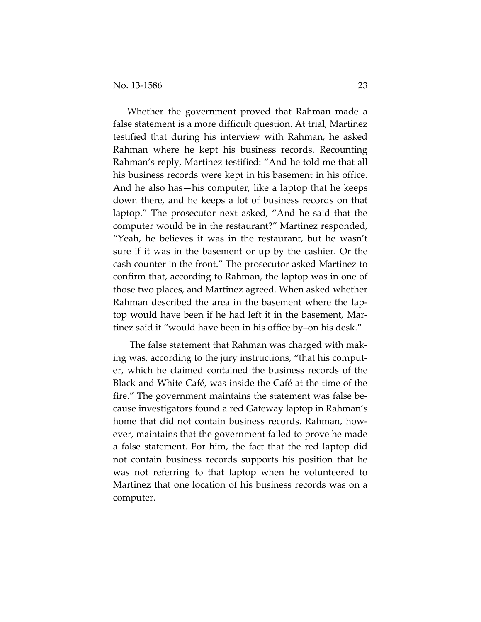Whether the government proved that Rahman made a false statement is a more difficult question. At trial, Martinez testified that during his interview with Rahman, he asked Rahman where he kept his business records. Recounting Rahman's reply, Martinez testified: "And he told me that all his business records were kept in his basement in his office. And he also has—his computer, like a laptop that he keeps down there, and he keeps a lot of business records on that laptop." The prosecutor next asked, "And he said that the computer would be in the restaurant?" Martinez responded, "Yeah, he believes it was in the restaurant, but he wasn't sure if it was in the basement or up by the cashier. Or the cash counter in the front." The prosecutor asked Martinez to confirm that, according to Rahman, the laptop was in one of those two places, and Martinez agreed. When asked whether Rahman described the area in the basement where the laptop would have been if he had left it in the basement, Martinez said it "would have been in his office by–on his desk."

The false statement that Rahman was charged with making was, according to the jury instructions, "that his computer, which he claimed contained the business records of the Black and White Café, was inside the Café at the time of the fire." The government maintains the statement was false because investigators found a red Gateway laptop in Rahman's home that did not contain business records. Rahman, however, maintains that the government failed to prove he made a false statement. For him, the fact that the red laptop did not contain business records supports his position that he was not referring to that laptop when he volunteered to Martinez that one location of his business records was on a computer.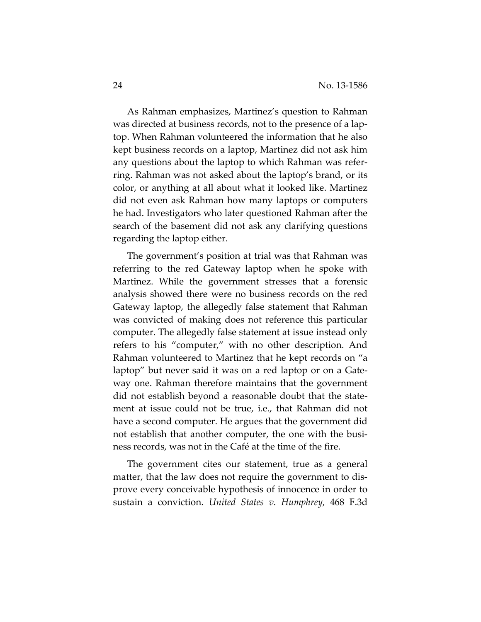As Rahman emphasizes, Martinez's question to Rahman was directed at business records, not to the presence of a laptop. When Rahman volunteered the information that he also kept business records on a laptop, Martinez did not ask him any questions about the laptop to which Rahman was referring. Rahman was not asked about the laptop's brand, or its color, or anything at all about what it looked like. Martinez did not even ask Rahman how many laptops or computers he had. Investigators who later questioned Rahman after the search of the basement did not ask any clarifying questions regarding the laptop either.

The government's position at trial was that Rahman was referring to the red Gateway laptop when he spoke with Martinez. While the government stresses that a forensic analysis showed there were no business records on the red Gateway laptop, the allegedly false statement that Rahman was convicted of making does not reference this particular computer. The allegedly false statement at issue instead only refers to his "computer," with no other description. And Rahman volunteered to Martinez that he kept records on "a laptop" but never said it was on a red laptop or on a Gateway one. Rahman therefore maintains that the government did not establish beyond a reasonable doubt that the statement at issue could not be true, i.e., that Rahman did not have a second computer. He argues that the government did not establish that another computer, the one with the business records, was not in the Café at the time of the fire.

The government cites our statement, true as a general matter, that the law does not require the government to disprove every conceivable hypothesis of innocence in order to sustain a conviction. *United States v. Humphrey*, 468 F.3d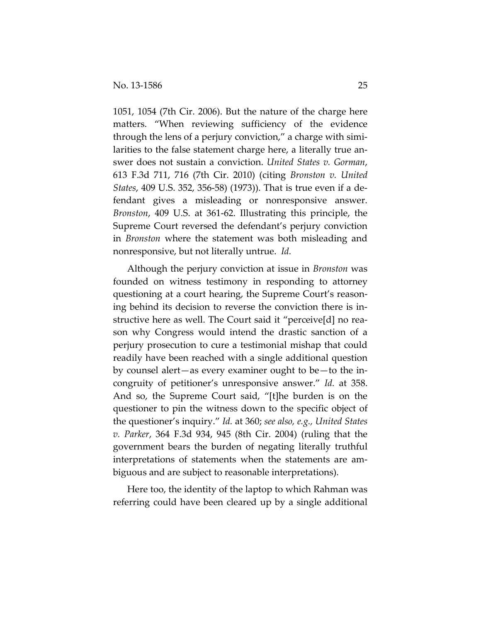1051, 1054 (7th Cir. 2006). But the nature of the charge here matters. "When reviewing sufficiency of the evidence through the lens of a perjury conviction," a charge with similarities to the false statement charge here, a literally true answer does not sustain a conviction. *United States v. Gorman*, 613 F.3d 711, 716 (7th Cir. 2010) (citing *Bronston v. United States*, 409 U.S. 352, 356-58) (1973)). That is true even if a defendant gives a misleading or nonresponsive answer. *Bronston*, 409 U.S. at 361-62. Illustrating this principle, the Supreme Court reversed the defendant's perjury conviction in *Bronston* where the statement was both misleading and nonresponsive, but not literally untrue. *Id.* 

Although the perjury conviction at issue in *Bronston* was founded on witness testimony in responding to attorney questioning at a court hearing, the Supreme Court's reasoning behind its decision to reverse the conviction there is instructive here as well. The Court said it "perceive[d] no reason why Congress would intend the drastic sanction of a perjury prosecution to cure a testimonial mishap that could readily have been reached with a single additional question by counsel alert—as every examiner ought to be—to the incongruity of petitioner's unresponsive answer." *Id.* at 358. And so, the Supreme Court said, "[t]he burden is on the questioner to pin the witness down to the specific object of the questioner's inquiry." *Id.* at 360; *see also, e.g., United States v. Parker*, 364 F.3d 934, 945 (8th Cir. 2004) (ruling that the government bears the burden of negating literally truthful interpretations of statements when the statements are ambiguous and are subject to reasonable interpretations).

Here too, the identity of the laptop to which Rahman was referring could have been cleared up by a single additional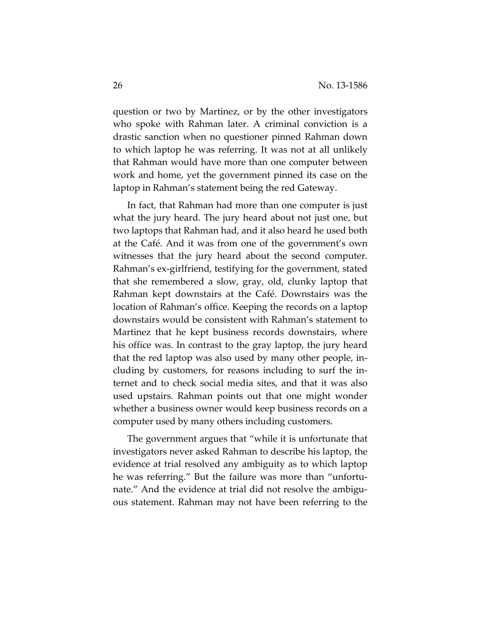question or two by Martinez, or by the other investigators who spoke with Rahman later. A criminal conviction is a drastic sanction when no questioner pinned Rahman down to which laptop he was referring. It was not at all unlikely that Rahman would have more than one computer between work and home, yet the government pinned its case on the laptop in Rahman's statement being the red Gateway.

In fact, that Rahman had more than one computer is just what the jury heard. The jury heard about not just one, but two laptops that Rahman had, and it also heard he used both at the Café. And it was from one of the government's own witnesses that the jury heard about the second computer. Rahman's ex-girlfriend, testifying for the government, stated that she remembered a slow, gray, old, clunky laptop that Rahman kept downstairs at the Café. Downstairs was the location of Rahman's office. Keeping the records on a laptop downstairs would be consistent with Rahman's statement to Martinez that he kept business records downstairs, where his office was. In contrast to the gray laptop, the jury heard that the red laptop was also used by many other people, including by customers, for reasons including to surf the internet and to check social media sites, and that it was also used upstairs. Rahman points out that one might wonder whether a business owner would keep business records on a computer used by many others including customers.

The government argues that "while it is unfortunate that investigators never asked Rahman to describe his laptop, the evidence at trial resolved any ambiguity as to which laptop he was referring." But the failure was more than "unfortunate." And the evidence at trial did not resolve the ambiguous statement. Rahman may not have been referring to the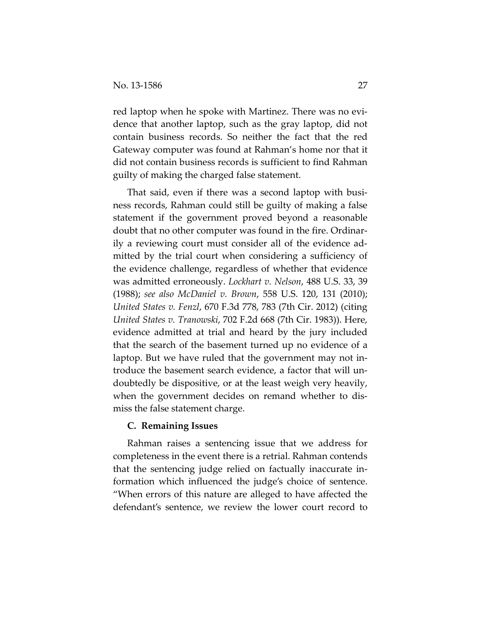red laptop when he spoke with Martinez. There was no evidence that another laptop, such as the gray laptop, did not contain business records. So neither the fact that the red Gateway computer was found at Rahman's home nor that it did not contain business records is sufficient to find Rahman guilty of making the charged false statement.

That said, even if there was a second laptop with business records, Rahman could still be guilty of making a false statement if the government proved beyond a reasonable doubt that no other computer was found in the fire. Ordinarily a reviewing court must consider all of the evidence admitted by the trial court when considering a sufficiency of the evidence challenge, regardless of whether that evidence was admitted erroneously. *Lockhart v. Nelson*, 488 U.S. 33, 39 (1988); *see also McDaniel v. Brown*, 558 U.S. 120, 131 (2010); *United States v. Fenzl*, 670 F.3d 778, 783 (7th Cir. 2012) (citing *United States v. Tranowski*, 702 F.2d 668 (7th Cir. 1983)). Here, evidence admitted at trial and heard by the jury included that the search of the basement turned up no evidence of a laptop. But we have ruled that the government may not introduce the basement search evidence, a factor that will undoubtedly be dispositive, or at the least weigh very heavily, when the government decides on remand whether to dismiss the false statement charge.

## **C. Remaining Issues**

Rahman raises a sentencing issue that we address for completeness in the event there is a retrial. Rahman contends that the sentencing judge relied on factually inaccurate information which influenced the judge's choice of sentence. "When errors of this nature are alleged to have affected the defendant's sentence, we review the lower court record to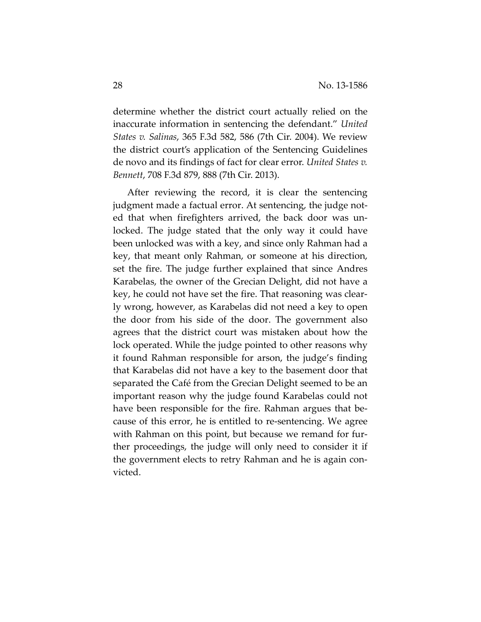determine whether the district court actually relied on the inaccurate information in sentencing the defendant." *United States v. Salinas*, 365 F.3d 582, 586 (7th Cir. 2004). We review the district court's application of the Sentencing Guidelines de novo and its findings of fact for clear error. *United States v. Bennett*, 708 F.3d 879, 888 (7th Cir. 2013).

After reviewing the record, it is clear the sentencing judgment made a factual error. At sentencing, the judge noted that when firefighters arrived, the back door was unlocked. The judge stated that the only way it could have been unlocked was with a key, and since only Rahman had a key, that meant only Rahman, or someone at his direction, set the fire. The judge further explained that since Andres Karabelas, the owner of the Grecian Delight, did not have a key, he could not have set the fire. That reasoning was clearly wrong, however, as Karabelas did not need a key to open the door from his side of the door. The government also agrees that the district court was mistaken about how the lock operated. While the judge pointed to other reasons why it found Rahman responsible for arson, the judge's finding that Karabelas did not have a key to the basement door that separated the Café from the Grecian Delight seemed to be an important reason why the judge found Karabelas could not have been responsible for the fire. Rahman argues that because of this error, he is entitled to re-sentencing. We agree with Rahman on this point, but because we remand for further proceedings, the judge will only need to consider it if the government elects to retry Rahman and he is again convicted.